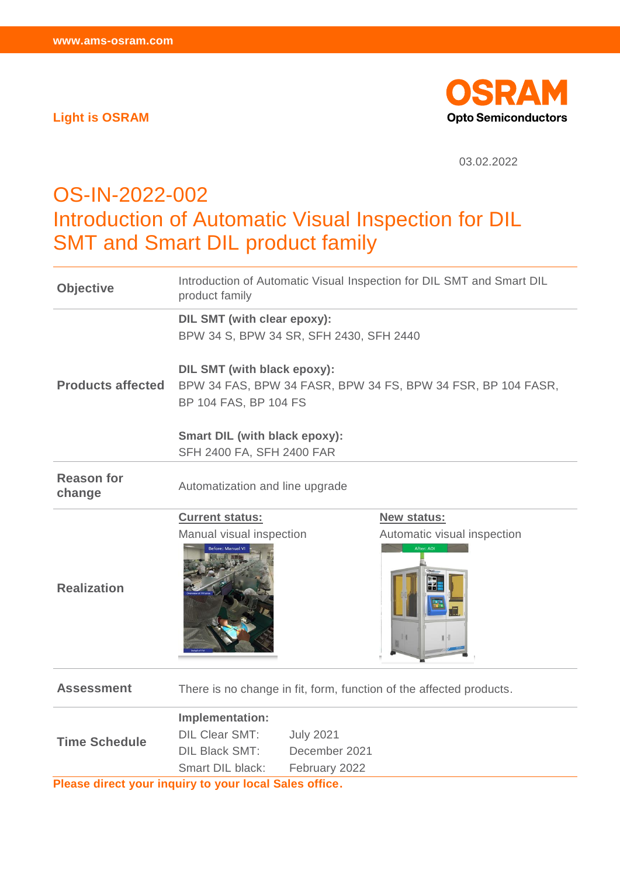**Light is OSRAM**



03.02.2022

## OS-IN-2022-002 Introduction of Automatic Visual Inspection for DIL SMT and Smart DIL product family

| <b>Objective</b>                                       | Introduction of Automatic Visual Inspection for DIL SMT and Smart DIL<br>product family                              |                  |                                           |  |
|--------------------------------------------------------|----------------------------------------------------------------------------------------------------------------------|------------------|-------------------------------------------|--|
|                                                        | <b>DIL SMT (with clear epoxy):</b><br>BPW 34 S, BPW 34 SR, SFH 2430, SFH 2440                                        |                  |                                           |  |
| <b>Products affected</b>                               | DIL SMT (with black epoxy):<br>BPW 34 FAS, BPW 34 FASR, BPW 34 FS, BPW 34 FSR, BP 104 FASR,<br>BP 104 FAS, BP 104 FS |                  |                                           |  |
|                                                        | <b>Smart DIL (with black epoxy):</b>                                                                                 |                  |                                           |  |
|                                                        | SFH 2400 FA, SFH 2400 FAR                                                                                            |                  |                                           |  |
| <b>Reason for</b><br>change                            | Automatization and line upgrade                                                                                      |                  |                                           |  |
|                                                        | <b>Current status:</b>                                                                                               |                  | <b>New status:</b>                        |  |
| <b>Realization</b>                                     | Manual visual inspection                                                                                             |                  | Automatic visual inspection<br>After: AOI |  |
| <b>Assessment</b>                                      | There is no change in fit, form, function of the affected products.                                                  |                  |                                           |  |
| <b>Time Schedule</b>                                   | Implementation:                                                                                                      |                  |                                           |  |
|                                                        | <b>DIL Clear SMT:</b>                                                                                                | <b>July 2021</b> |                                           |  |
|                                                        | <b>DIL Black SMT:</b>                                                                                                | December 2021    |                                           |  |
|                                                        | Smart DIL black:                                                                                                     | February 2022    |                                           |  |
| Please direct your inquiry to your local Sales office. |                                                                                                                      |                  |                                           |  |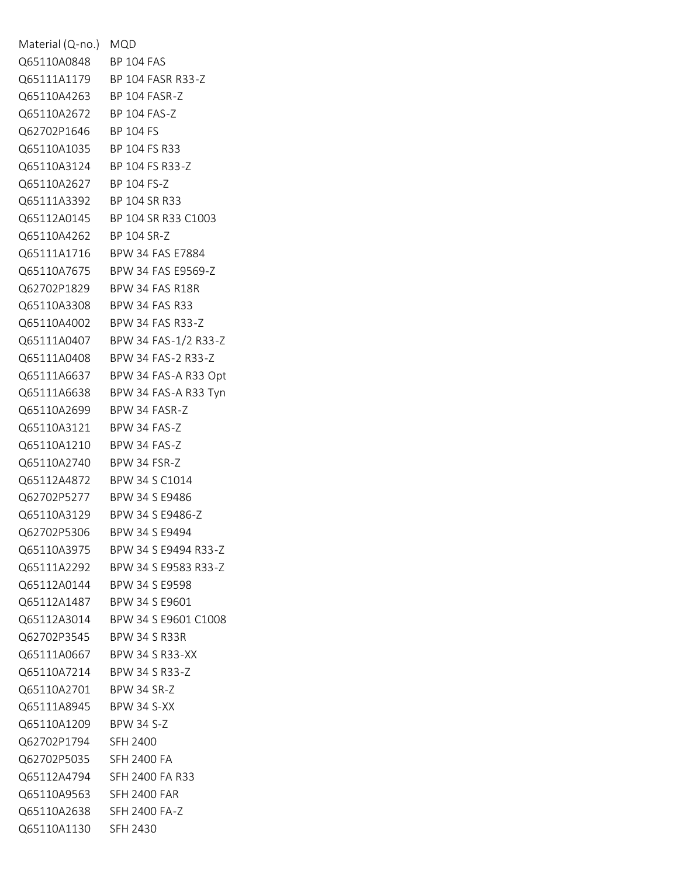| Material (Q-no.) MQD       |                                  |
|----------------------------|----------------------------------|
| Q65110A0848 BP 104 FAS     |                                  |
|                            | Q65111A1179 BP 104 FASR R33-Z    |
| Q65110A4263 BP 104 FASR-Z  |                                  |
| Q65110A2672 BP 104 FAS-Z   |                                  |
| Q62702P1646 BP 104 FS      |                                  |
| Q65110A1035 BP 104 FS R33  |                                  |
|                            | Q65110A3124 BP 104 FS R33-Z      |
| Q65110A2627                | BP 104 FS-Z                      |
| Q65111A3392 BP 104 SR R33  |                                  |
| Q65112A0145                | BP 104 SR R33 C1003              |
| Q65110A4262                | BP 104 SR-Z                      |
|                            | Q65111A1716 BPW 34 FAS E7884     |
|                            | Q65110A7675 BPW 34 FAS E9569-Z   |
| Q62702P1829                | BPW 34 FAS R18R                  |
| Q65110A3308                | <b>BPW 34 FAS R33</b>            |
| Q65110A4002                | BPW 34 FAS R33-Z                 |
| Q65111A0407                | BPW 34 FAS-1/2 R33-Z             |
| Q65111A0408                | BPW 34 FAS-2 R33-Z               |
| Q65111A6637                | BPW 34 FAS-A R33 Opt             |
| Q65111A6638                | BPW 34 FAS-A R33 Tyn             |
| Q65110A2699                | BPW 34 FASR-Z                    |
| Q65110A3121                | BPW 34 FAS-Z                     |
| Q65110A1210                | BPW 34 FAS-Z                     |
| Q65110A2740                | BPW 34 FSR-Z                     |
| Q65112A4872                | BPW 34 S C1014                   |
| Q62702P5277                | BPW 34 S E9486                   |
| Q65110A3129                | BPW 34 S E9486-Z                 |
| Q62702P5306                | BPW 34 S E9494                   |
|                            | Q65110A3975 BPW 34 S E9494 R33-Z |
|                            | Q65111A2292 BPW 34 S E9583 R33-Z |
|                            | Q65112A0144 BPW 34 S E9598       |
|                            | Q65112A1487 BPW 34 S E9601       |
|                            | Q65112A3014 BPW 34 S E9601 C1008 |
| Q62702P3545 BPW 34 S R33R  |                                  |
|                            | Q65111A0667 BPW 34 S R33-XX      |
| Q65110A7214 BPW 34 S R33-Z |                                  |
| Q65110A2701 BPW 34 SR-Z    |                                  |
| Q65111A8945 BPW 34 S-XX    |                                  |
| Q65110A1209 BPW 34 S-Z     |                                  |
| Q62702P1794 SFH 2400       |                                  |
| Q62702P5035 SFH 2400 FA    |                                  |
|                            | Q65112A4794 SFH 2400 FA R33      |
| Q65110A9563 SFH 2400 FAR   |                                  |
| Q65110A2638 SFH 2400 FA-Z  |                                  |
| Q65110A1130 SFH 2430       |                                  |